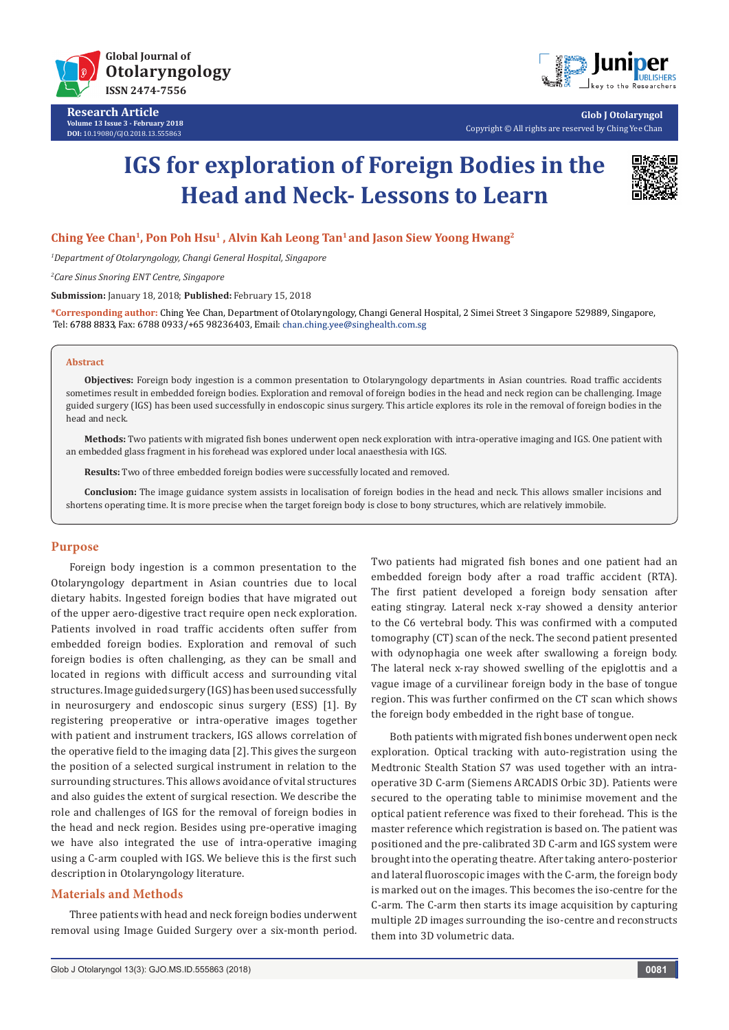



**Glob J Otolaryngol** Copyright © All rights are reserved by Ching Yee Chan

# **IGS for exploration of Foreign Bodies in the Head and Neck- Lessons to Learn**



## Ching Yee Chan<sup>1</sup>, Pon Poh Hsu<sup>1</sup>, Alvin Kah Leong Tan<sup>1</sup> and Jason Siew Yoong Hwang<sup>2</sup>

*1 Department of Otolaryngology, Changi General Hospital, Singapore*

*2 Care Sinus Snoring ENT Centre, Singapore*

**Submission:** January 18, 2018; **Published:** February 15, 2018

**\*Corresponding author:** Ching Yee Chan, Department of Otolaryngology, Changi General Hospital, 2 Simei Street 3 Singapore 529889, Singapore, Tel: 6788 8833, Fax: 6788 0933/+65 98236403, Email: chan.ching.yee@singhealth.com.sg

#### **Abstract**

**Objectives:** Foreign body ingestion is a common presentation to Otolaryngology departments in Asian countries. Road traffic accidents sometimes result in embedded foreign bodies. Exploration and removal of foreign bodies in the head and neck region can be challenging. Image guided surgery (IGS) has been used successfully in endoscopic sinus surgery. This article explores its role in the removal of foreign bodies in the head and neck.

**Methods:** Two patients with migrated fish bones underwent open neck exploration with intra-operative imaging and IGS. One patient with an embedded glass fragment in his forehead was explored under local anaesthesia with IGS.

**Results:** Two of three embedded foreign bodies were successfully located and removed.

**Conclusion:** The image guidance system assists in localisation of foreign bodies in the head and neck. This allows smaller incisions and shortens operating time. It is more precise when the target foreign body is close to bony structures, which are relatively immobile.

## **Purpose**

Foreign body ingestion is a common presentation to the Otolaryngology department in Asian countries due to local dietary habits. Ingested foreign bodies that have migrated out of the upper aero-digestive tract require open neck exploration. Patients involved in road traffic accidents often suffer from embedded foreign bodies. Exploration and removal of such foreign bodies is often challenging, as they can be small and located in regions with difficult access and surrounding vital structures. Image guided surgery (IGS) has been used successfully in neurosurgery and endoscopic sinus surgery (ESS) [1]. By registering preoperative or intra-operative images together with patient and instrument trackers, IGS allows correlation of the operative field to the imaging data [2]. This gives the surgeon the position of a selected surgical instrument in relation to the surrounding structures. This allows avoidance of vital structures and also guides the extent of surgical resection. We describe the role and challenges of IGS for the removal of foreign bodies in the head and neck region. Besides using pre-operative imaging we have also integrated the use of intra-operative imaging using a C-arm coupled with IGS. We believe this is the first such description in Otolaryngology literature.

### **Materials and Methods**

Three patients with head and neck foreign bodies underwent removal using Image Guided Surgery over a six-month period.

Two patients had migrated fish bones and one patient had an embedded foreign body after a road traffic accident (RTA). The first patient developed a foreign body sensation after eating stingray. Lateral neck x-ray showed a density anterior to the C6 vertebral body. This was confirmed with a computed tomography (CT) scan of the neck. The second patient presented with odynophagia one week after swallowing a foreign body. The lateral neck x-ray showed swelling of the epiglottis and a vague image of a curvilinear foreign body in the base of tongue region. This was further confirmed on the CT scan which shows the foreign body embedded in the right base of tongue.

Both patients with migrated fish bones underwent open neck exploration. Optical tracking with auto-registration using the Medtronic Stealth Station S7 was used together with an intraoperative 3D C-arm (Siemens ARCADIS Orbic 3D). Patients were secured to the operating table to minimise movement and the optical patient reference was fixed to their forehead. This is the master reference which registration is based on. The patient was positioned and the pre-calibrated 3D C-arm and IGS system were brought into the operating theatre. After taking antero-posterior and lateral fluoroscopic images with the C-arm, the foreign body is marked out on the images. This becomes the iso-centre for the C-arm. The C-arm then starts its image acquisition by capturing multiple 2D images surrounding the iso-centre and reconstructs them into 3D volumetric data.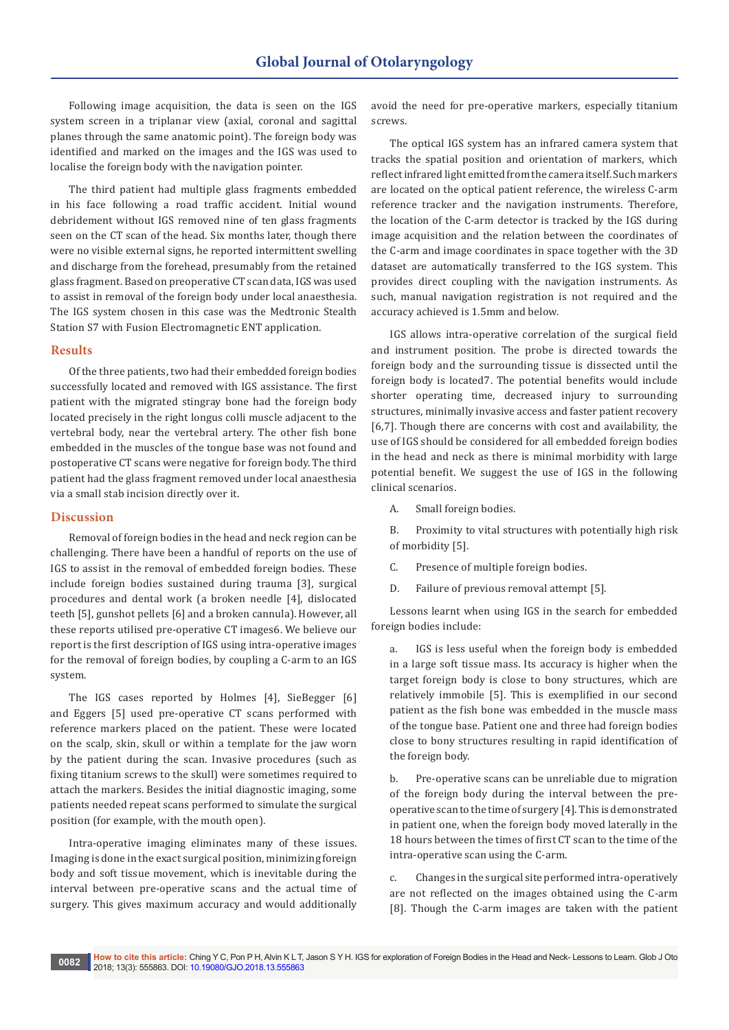Following image acquisition, the data is seen on the IGS system screen in a triplanar view (axial, coronal and sagittal planes through the same anatomic point). The foreign body was identified and marked on the images and the IGS was used to localise the foreign body with the navigation pointer.

The third patient had multiple glass fragments embedded in his face following a road traffic accident. Initial wound debridement without IGS removed nine of ten glass fragments seen on the CT scan of the head. Six months later, though there were no visible external signs, he reported intermittent swelling and discharge from the forehead, presumably from the retained glass fragment. Based on preoperative CT scan data, IGS was used to assist in removal of the foreign body under local anaesthesia. The IGS system chosen in this case was the Medtronic Stealth Station S7 with Fusion Electromagnetic ENT application.

#### **Results**

Of the three patients, two had their embedded foreign bodies successfully located and removed with IGS assistance. The first patient with the migrated stingray bone had the foreign body located precisely in the right longus colli muscle adjacent to the vertebral body, near the vertebral artery. The other fish bone embedded in the muscles of the tongue base was not found and postoperative CT scans were negative for foreign body. The third patient had the glass fragment removed under local anaesthesia via a small stab incision directly over it.

### **Discussion**

Removal of foreign bodies in the head and neck region can be challenging. There have been a handful of reports on the use of IGS to assist in the removal of embedded foreign bodies. These include foreign bodies sustained during trauma [3], surgical procedures and dental work (a broken needle [4], dislocated teeth [5], gunshot pellets [6] and a broken cannula). However, all these reports utilised pre-operative CT images6. We believe our report is the first description of IGS using intra-operative images for the removal of foreign bodies, by coupling a C-arm to an IGS system.

The IGS cases reported by Holmes [4], SieBegger [6] and Eggers [5] used pre-operative CT scans performed with reference markers placed on the patient. These were located on the scalp, skin, skull or within a template for the jaw worn by the patient during the scan. Invasive procedures (such as fixing titanium screws to the skull) were sometimes required to attach the markers. Besides the initial diagnostic imaging, some patients needed repeat scans performed to simulate the surgical position (for example, with the mouth open).

Intra-operative imaging eliminates many of these issues. Imaging is done in the exact surgical position, minimizing foreign body and soft tissue movement, which is inevitable during the interval between pre-operative scans and the actual time of surgery. This gives maximum accuracy and would additionally

avoid the need for pre-operative markers, especially titanium screws.

The optical IGS system has an infrared camera system that tracks the spatial position and orientation of markers, which reflect infrared light emitted from the camera itself. Such markers are located on the optical patient reference, the wireless C-arm reference tracker and the navigation instruments. Therefore, the location of the C-arm detector is tracked by the IGS during image acquisition and the relation between the coordinates of the C-arm and image coordinates in space together with the 3D dataset are automatically transferred to the IGS system. This provides direct coupling with the navigation instruments. As such, manual navigation registration is not required and the accuracy achieved is 1.5mm and below.

IGS allows intra-operative correlation of the surgical field and instrument position. The probe is directed towards the foreign body and the surrounding tissue is dissected until the foreign body is located7. The potential benefits would include shorter operating time, decreased injury to surrounding structures, minimally invasive access and faster patient recovery [6,7]. Though there are concerns with cost and availability, the use of IGS should be considered for all embedded foreign bodies in the head and neck as there is minimal morbidity with large potential benefit. We suggest the use of IGS in the following clinical scenarios.

A. Small foreign bodies.

B. Proximity to vital structures with potentially high risk of morbidity [5].

C. Presence of multiple foreign bodies.

D. Failure of previous removal attempt [5].

Lessons learnt when using IGS in the search for embedded foreign bodies include:

a. IGS is less useful when the foreign body is embedded in a large soft tissue mass. Its accuracy is higher when the target foreign body is close to bony structures, which are relatively immobile [5]. This is exemplified in our second patient as the fish bone was embedded in the muscle mass of the tongue base. Patient one and three had foreign bodies close to bony structures resulting in rapid identification of the foreign body.

b. Pre-operative scans can be unreliable due to migration of the foreign body during the interval between the preoperative scan to the time of surgery [4]. This is demonstrated in patient one, when the foreign body moved laterally in the 18 hours between the times of first CT scan to the time of the intra-operative scan using the C-arm.

c. Changes in the surgical site performed intra-operatively are not reflected on the images obtained using the C-arm [8]. Though the C-arm images are taken with the patient